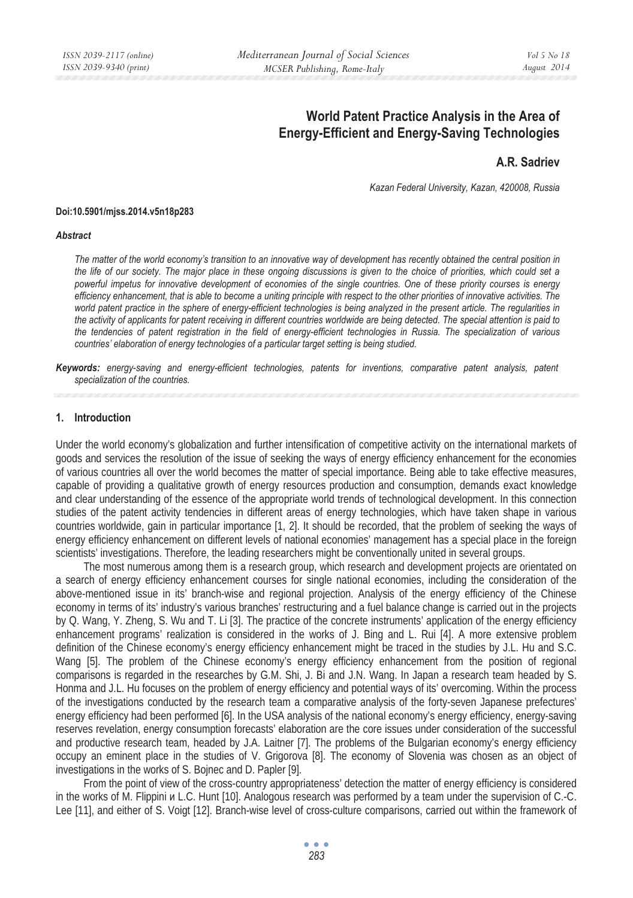# **World Patent Practice Analysis in the Area of Energy-Efficient and Energy-Saving Technologies**

## **A.R. Sadriev**

*Kazan Federal University, Kazan, 420008, Russia* 

#### **Doi:10.5901/mjss.2014.v5n18p283**

#### *Abstract*

*The matter of the world economy's transition to an innovative way of development has recently obtained the central position in the life of our society. The major place in these ongoing discussions is given to the choice of priorities, which could set a powerful impetus for innovative development of economies of the single countries. One of these priority courses is energy efficiency enhancement, that is able to become a uniting principle with respect to the other priorities of innovative activities. The world patent practice in the sphere of energy-efficient technologies is being analyzed in the present article. The regularities in the activity of applicants for patent receiving in different countries worldwide are being detected. The special attention is paid to the tendencies of patent registration in the field of energy-efficient technologies in Russia. The specialization of various countries' elaboration of energy technologies of a particular target setting is being studied.* 

*Keywords: energy-saving and energy-efficient technologies, patents for inventions, comparative patent analysis, patent specialization of the countries.* 

### **1. Introduction**

Under the world economy's globalization and further intensification of competitive activity on the international markets of goods and services the resolution of the issue of seeking the ways of energy efficiency enhancement for the economies of various countries all over the world becomes the matter of special importance. Being able to take effective measures, capable of providing a qualitative growth of energy resources production and consumption, demands exact knowledge and clear understanding of the essence of the appropriate world trends of technological development. In this connection studies of the patent activity tendencies in different areas of energy technologies, which have taken shape in various countries worldwide, gain in particular importance [1, 2]. It should be recorded, that the problem of seeking the ways of energy efficiency enhancement on different levels of national economies' management has a special place in the foreign scientists' investigations. Therefore, the leading researchers might be conventionally united in several groups.

The most numerous among them is a research group, which research and development projects are orientated on a search of energy efficiency enhancement courses for single national economies, including the consideration of the above-mentioned issue in its' branch-wise and regional projection. Analysis of the energy efficiency of the Chinese economy in terms of its' industry's various branches' restructuring and a fuel balance change is carried out in the projects by Q. Wang, Y. Zheng, S. Wu and T. Li [3]. The practice of the concrete instruments' application of the energy efficiency enhancement programs' realization is considered in the works of J. Bing and L. Rui [4]. A more extensive problem definition of the Chinese economy's energy efficiency enhancement might be traced in the studies by J.L. Hu and S.C. Wang [5]. The problem of the Chinese economy's energy efficiency enhancement from the position of regional comparisons is regarded in the researches by G.M. Shi, J. Bi and J.N. Wang. In Japan a research team headed by S. Honma and J.L. Hu focuses on the problem of energy efficiency and potential ways of its' overcoming. Within the process of the investigations conducted by the research team a comparative analysis of the forty-seven Japanese prefectures' energy efficiency had been performed [6]. In the USA analysis of the national economy's energy efficiency, energy-saving reserves revelation, energy consumption forecasts' elaboration are the core issues under consideration of the successful and productive research team, headed by J.A. Laitner [7]. The problems of the Bulgarian economy's energy efficiency occupy an eminent place in the studies of V. Grigorova [8]. The economy of Slovenia was chosen as an object of investigations in the works of S. Bojnec and D. Papler [9].

From the point of view of the cross-country appropriateness' detection the matter of energy efficiency is considered in the works of M. Flippini  $u$  L.C. Hunt [10]. Analogous research was performed by a team under the supervision of C.-C. Lee [11], and either of S. Voigt [12]. Branch-wise level of cross-culture comparisons, carried out within the framework of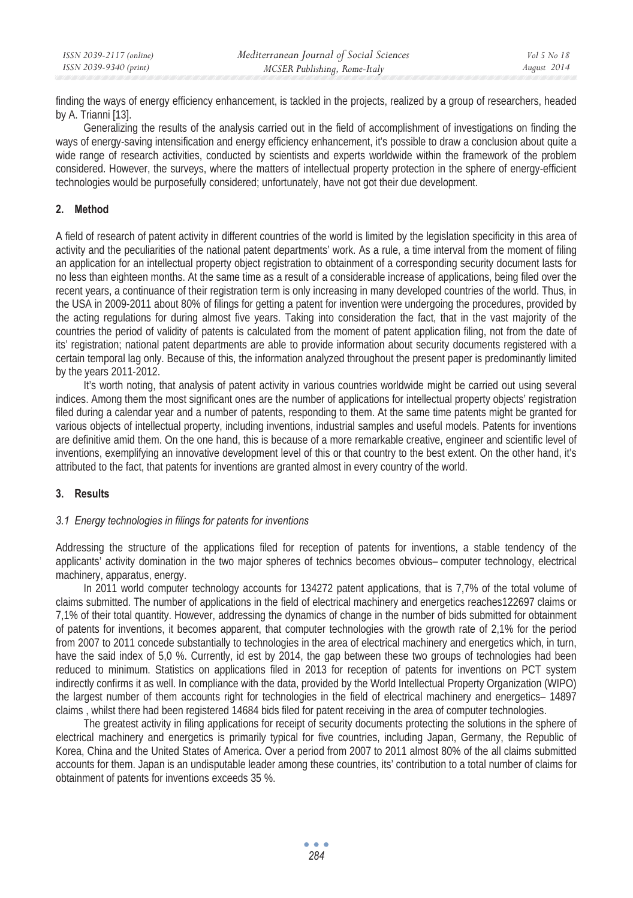| ISSN 2039-2117 (online) | Mediterranean Journal of Social Sciences | Vol 5 No 18 |
|-------------------------|------------------------------------------|-------------|
| ISSN 2039-9340 (print)  | MCSER Publishing, Rome-Italy             | August 2014 |

finding the ways of energy efficiency enhancement, is tackled in the projects, realized by a group of researchers, headed by A. Trianni [13].

Generalizing the results of the analysis carried out in the field of accomplishment of investigations on finding the ways of energy-saving intensification and energy efficiency enhancement, it's possible to draw a conclusion about quite a wide range of research activities, conducted by scientists and experts worldwide within the framework of the problem considered. However, the surveys, where the matters of intellectual property protection in the sphere of energy-efficient technologies would be purposefully considered; unfortunately, have not got their due development.

## **2. Method**

A field of research of patent activity in different countries of the world is limited by the legislation specificity in this area of activity and the peculiarities of the national patent departments' work. As a rule, a time interval from the moment of filing an application for an intellectual property object registration to obtainment of a corresponding security document lasts for no less than eighteen months. At the same time as a result of a considerable increase of applications, being filed over the recent years, a continuance of their registration term is only increasing in many developed countries of the world. Thus, in the USA in 2009-2011 about 80% of filings for getting a patent for invention were undergoing the procedures, provided by the acting regulations for during almost five years. Taking into consideration the fact, that in the vast majority of the countries the period of validity of patents is calculated from the moment of patent application filing, not from the date of its' registration; national patent departments are able to provide information about security documents registered with a certain temporal lag only. Because of this, the information analyzed throughout the present paper is predominantly limited by the years 2011-2012.

It's worth noting, that analysis of patent activity in various countries worldwide might be carried out using several indices. Among them the most significant ones are the number of applications for intellectual property objects' registration filed during a calendar year and a number of patents, responding to them. At the same time patents might be granted for various objects of intellectual property, including inventions, industrial samples and useful models. Patents for inventions are definitive amid them. On the one hand, this is because of a more remarkable creative, engineer and scientific level of inventions, exemplifying an innovative development level of this or that country to the best extent. On the other hand, it's attributed to the fact, that patents for inventions are granted almost in every country of the world.

### **3. Results**

### *3.1 Energy technologies in filings for patents for inventions*

Addressing the structure of the applications filed for reception of patents for inventions, a stable tendency of the applicants' activity domination in the two major spheres of technics becomes obvious– computer technology, electrical machinery, apparatus, energy.

In 2011 world computer technology accounts for 134272 patent applications, that is 7,7% of the total volume of claims submitted. The number of applications in the field of electrical machinery and energetics reaches122697 claims or 7,1% of their total quantity. However, addressing the dynamics of change in the number of bids submitted for obtainment of patents for inventions, it becomes apparent, that computer technologies with the growth rate of 2,1% for the period from 2007 to 2011 concede substantially to technologies in the area of electrical machinery and energetics which, in turn, have the said index of 5,0 %. Currently, id est by 2014, the gap between these two groups of technologies had been reduced to minimum. Statistics on applications filed in 2013 for reception of patents for inventions on PCT system indirectly confirms it as well. In compliance with the data, provided by the World Intellectual Property Organization (WIPO) the largest number of them accounts right for technologies in the field of electrical machinery and energetics– 14897 claims , whilst there had been registered 14684 bids filed for patent receiving in the area of computer technologies.

The greatest activity in filing applications for receipt of security documents protecting the solutions in the sphere of electrical machinery and energetics is primarily typical for five countries, including Japan, Germany, the Republic of Korea, China and the United States of America. Over a period from 2007 to 2011 almost 80% of the all claims submitted accounts for them. Japan is an undisputable leader among these countries, its' contribution to a total number of claims for obtainment of patents for inventions exceeds 35 %.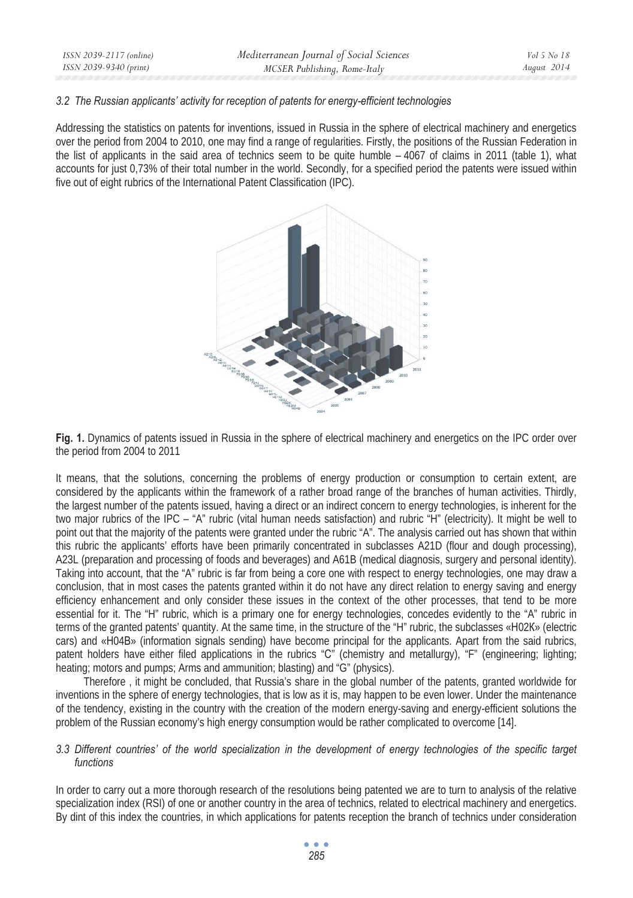#### *3.2 The Russian applicants' activity for reception of patents for energy-efficient technologies*

Addressing the statistics on patents for inventions, issued in Russia in the sphere of electrical machinery and energetics over the period from 2004 to 2010, one may find a range of regularities. Firstly, the positions of the Russian Federation in the list of applicants in the said area of technics seem to be quite humble – 4067 of claims in 2011 (table 1), what accounts for just 0,73% of their total number in the world. Secondly, for a specified period the patents were issued within five out of eight rubrics of the International Patent Classification (IPC).



**Fig. 1.** Dynamics of patents issued in Russia in the sphere of electrical machinery and energetics on the IPC order over the period from 2004 to 2011

It means, that the solutions, concerning the problems of energy production or consumption to certain extent, are considered by the applicants within the framework of a rather broad range of the branches of human activities. Thirdly, the largest number of the patents issued, having a direct or an indirect concern to energy technologies, is inherent for the two major rubrics of the IPC – "A" rubric (vital human needs satisfaction) and rubric "H" (electricity). It might be well to point out that the majority of the patents were granted under the rubric "A". The analysis carried out has shown that within this rubric the applicants' efforts have been primarily concentrated in subclasses A21D (flour and dough processing), A23L (preparation and processing of foods and beverages) and A61B (medical diagnosis, surgery and personal identity). Taking into account, that the "A" rubric is far from being a core one with respect to energy technologies, one may draw a conclusion, that in most cases the patents granted within it do not have any direct relation to energy saving and energy efficiency enhancement and only consider these issues in the context of the other processes, that tend to be more essential for it. The "H" rubric, which is a primary one for energy technologies, concedes evidently to the "A" rubric in terms of the granted patents' quantity. At the same time, in the structure of the "H" rubric, the subclasses «H02K» (electric cars) and «H04B» (information signals sending) have become principal for the applicants. Apart from the said rubrics, patent holders have either filed applications in the rubrics "C" (chemistry and metallurgy), "F" (engineering; lighting; heating; motors and pumps; Arms and ammunition; blasting) and "G" (physics).

Therefore , it might be concluded, that Russia's share in the global number of the patents, granted worldwide for inventions in the sphere of energy technologies, that is low as it is, may happen to be even lower. Under the maintenance of the tendency, existing in the country with the creation of the modern energy-saving and energy-efficient solutions the problem of the Russian economy's high energy consumption would be rather complicated to overcome [14].

### *3.3 Different countries' of the world specialization in the development of energy technologies of the specific target functions*

In order to carry out a more thorough research of the resolutions being patented we are to turn to analysis of the relative specialization index (RSI) of one or another country in the area of technics, related to electrical machinery and energetics. By dint of this index the countries, in which applications for patents reception the branch of technics under consideration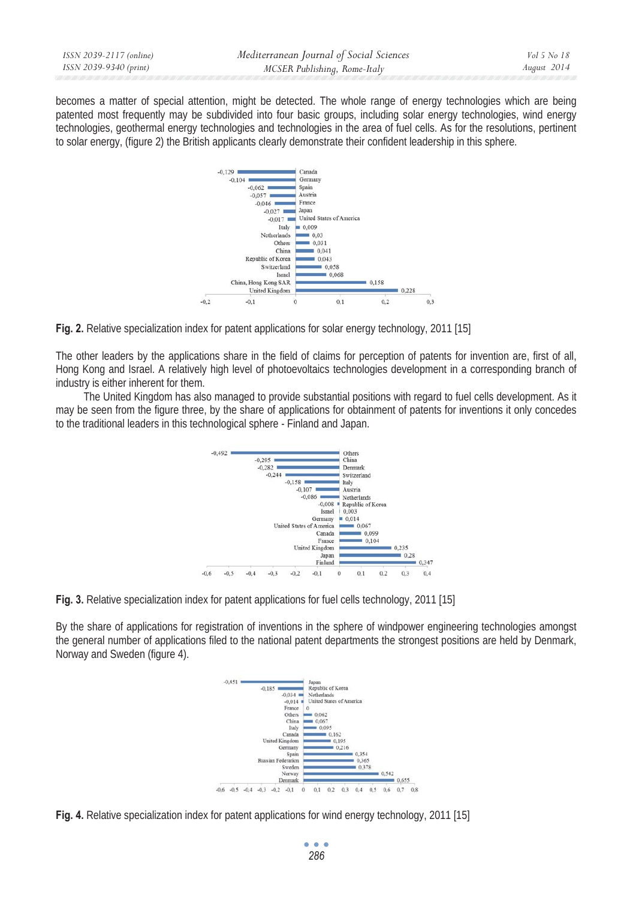| ISSN 2039-2117 (online) | Mediterranean Journal of Social Sciences | Vol 5 No 18 |
|-------------------------|------------------------------------------|-------------|
| ISSN 2039-9340 (print)  | MCSER Publishing, Rome-Italy             | August 2014 |
|                         |                                          |             |

becomes a matter of special attention, might be detected. The whole range of energy technologies which are being patented most frequently may be subdivided into four basic groups, including solar energy technologies, wind energy technologies, geothermal energy technologies and technologies in the area of fuel cells. As for the resolutions, pertinent to solar energy, (figure 2) the British applicants clearly demonstrate their confident leadership in this sphere.



**Fig. 2.** Relative specialization index for patent applications for solar energy technology, 2011 [15]

The other leaders by the applications share in the field of claims for perception of patents for invention are, first of all, Hong Kong and Israel. A relatively high level of photoevoltaics technologies development in a corresponding branch of industry is either inherent for them.

The United Kingdom has also managed to provide substantial positions with regard to fuel cells development. As it may be seen from the figure three, by the share of applications for obtainment of patents for inventions it only concedes to the traditional leaders in this technological sphere - Finland and Japan.



**Fig. 3.** Relative specialization index for patent applications for fuel cells technology, 2011 [15]

By the share of applications for registration of inventions in the sphere of windpower engineering technologies amongst the general number of applications filed to the national patent departments the strongest positions are held by Denmark, Norway and Sweden (figure 4).



**Fig. 4.** Relative specialization index for patent applications for wind energy technology, 2011 [15]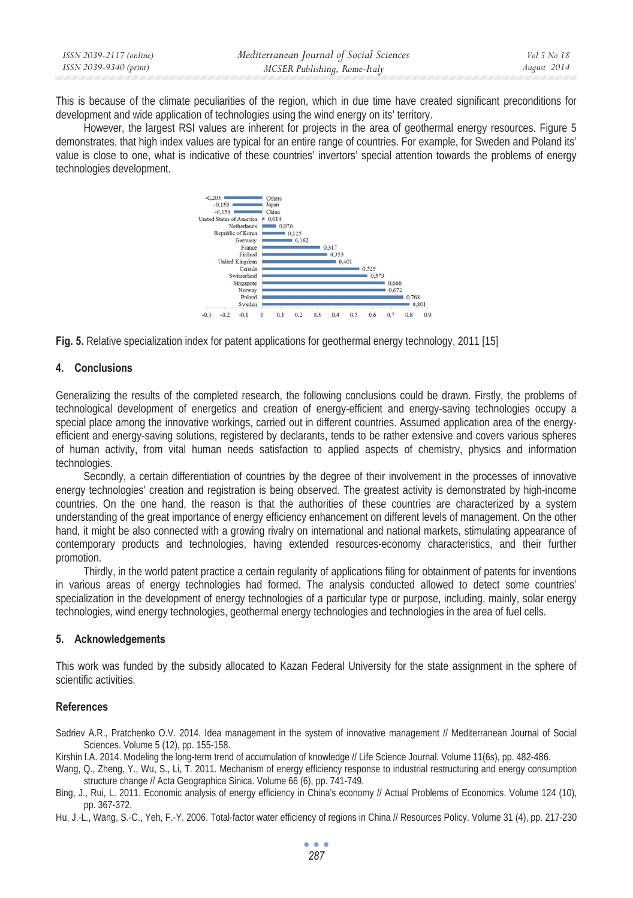| ISSN 2039-2117 (online) | Mediterranean Journal of Social Sciences | Vol 5 No 18 |
|-------------------------|------------------------------------------|-------------|
| ISSN 2039-9340 (print)  | MCSER Publishing, Rome-Italy             | August 2014 |

This is because of the climate peculiarities of the region, which in due time have created significant preconditions for development and wide application of technologies using the wind energy on its' territory.

However, the largest RSI values are inherent for projects in the area of geothermal energy resources. Figure 5 demonstrates, that high index values are typical for an entire range of countries. For example, for Sweden and Poland its' value is close to one, what is indicative of these countries' invertors' special attention towards the problems of energy technologies development.



**Fig. 5.** Relative specialization index for patent applications for geothermal energy technology, 2011 [15]

#### **4. Conclusions**

Generalizing the results of the completed research, the following conclusions could be drawn. Firstly, the problems of technological development of energetics and creation of energy-efficient and energy-saving technologies occupy a special place among the innovative workings, carried out in different countries. Assumed application area of the energyefficient and energy-saving solutions, registered by declarants, tends to be rather extensive and covers various spheres of human activity, from vital human needs satisfaction to applied aspects of chemistry, physics and information technologies.

Secondly, a certain differentiation of countries by the degree of their involvement in the processes of innovative energy technologies' creation and registration is being observed. The greatest activity is demonstrated by high-income countries. On the one hand, the reason is that the authorities of these countries are characterized by a system understanding of the great importance of energy efficiency enhancement on different levels of management. On the other hand, it might be also connected with a growing rivalry on international and national markets, stimulating appearance of contemporary products and technologies, having extended resources-economy characteristics, and their further promotion.

Thirdly, in the world patent practice a certain regularity of applications filing for obtainment of patents for inventions in various areas of energy technologies had formed. The analysis conducted allowed to detect some countries' specialization in the development of energy technologies of a particular type or purpose, including, mainly, solar energy technologies, wind energy technologies, geothermal energy technologies and technologies in the area of fuel cells.

### **5. Acknowledgements**

This work was funded by the subsidy allocated to Kazan Federal University for the state assignment in the sphere of scientific activities.

#### **References**

Sadriev A.R., Pratchenko O.V. 2014. Idea management in the system of innovative management // Mediterranean Journal of Social Sciences. Volume 5 (12), pp. 155-158.

Kirshin I.A. 2014. Modeling the long-term trend of accumulation of knowledge // Life Science Journal. Volume 11(6s), pp. 482-486.

Wang, Q., Zheng, Y., Wu, S., Li, T. 2011. Mechanism of energy efficiency response to industrial restructuring and energy consumption structure change // Acta Geographica Sinica. Volume 66 (6), pp. 741-749.

Bing, J., Rui, L. 2011. Economic analysis of energy efficiency in China's economy // Actual Problems of Economics. Volume 124 (10), pp. 367-372.

Hu, J.-L., Wang, S.-C., Yeh, F.-Y. 2006. Total-factor water efficiency of regions in China // Resources Policy. Volume 31 (4), pp. 217-230